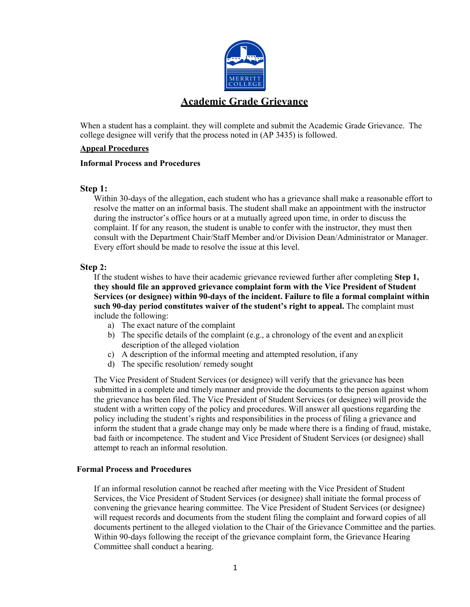

When a student has a complaint. they will complete and submit the Academic Grade Grievance. The college designee will verify that the process noted in (AP 3435) is followed.

#### **Appeal Procedures**

#### **Informal Process and Procedures**

#### **Step 1:**

Within 30-days of the allegation, each student who has a grievance shall make a reasonable effort to resolve the matter on an informal basis. The student shall make an appointment with the instructor during the instructor's office hours or at a mutually agreed upon time, in order to discuss the complaint. If for any reason, the student is unable to confer with the instructor, they must then consult with the Department Chair/Staff Member and/or Division Dean/Administrator or Manager. Every effort should be made to resolve the issue at this level.

#### **Step 2:**

If the student wishes to have their academic grievance reviewed further after completing **Step 1, they should file an approved grievance complaint form with the Vice President of Student Services (or designee) within 90-days of the incident. Failure to file a formal complaint within such 90-day period constitutes waiver of the student's right to appeal.** The complaint must include the following:

- a) The exact nature of the complaint
- b) The specific details of the complaint (e.g., a chronology of the event and an explicit description of the alleged violation
- c) A description of the informal meeting and attempted resolution, if any
- d) The specific resolution/ remedy sought

The Vice President of Student Services (or designee) will verify that the grievance has been submitted in a complete and timely manner and provide the documents to the person against whom the grievance has been filed. The Vice President of Student Services (or designee) will provide the student with a written copy of the policy and procedures. Will answer all questions regarding the policy including the student's rights and responsibilities in the process of filing a grievance and inform the student that a grade change may only be made where there is a finding of fraud, mistake, bad faith or incompetence. The student and Vice President of Student Services (or designee) shall attempt to reach an informal resolution.

#### **Formal Process and Procedures**

If an informal resolution cannot be reached after meeting with the Vice President of Student Services, the Vice President of Student Services (or designee) shall initiate the formal process of convening the grievance hearing committee. The Vice President of Student Services (or designee) will request records and documents from the student filing the complaint and forward copies of all documents pertinent to the alleged violation to the Chair of the Grievance Committee and the parties. Within 90-days following the receipt of the grievance complaint form, the Grievance Hearing Committee shall conduct a hearing.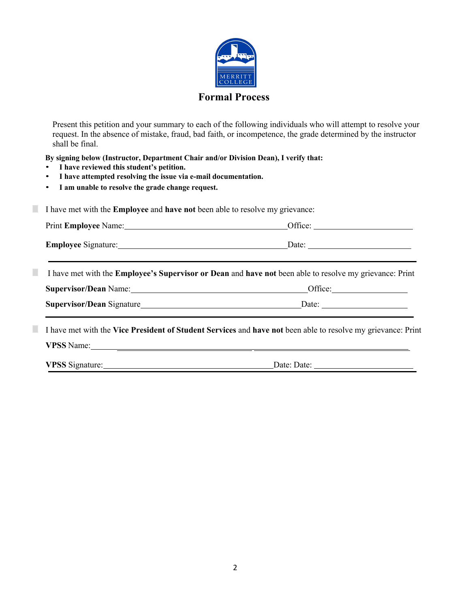

Present this petition and your summary to each of the following individuals who will attempt to resolve your request. In the absence of mistake, fraud, bad faith, or incompetence, the grade determined by the instructor shall be final.

 **By signing below (Instructor, Department Chair and/or Division Dean), I verify that:**

- **I have reviewed this student's petition.**
- **I have attempted resolving the issue via e-mail documentation.**
- **I am unable to resolve the grade change request.**

◻ I have met with the **Employee** and **have not** been able to resolve my grievance:

|                |                                                                                                                | Office: $\frac{1}{\sqrt{1-\frac{1}{2}}\sqrt{1-\frac{1}{2}}\sqrt{1-\frac{1}{2}}\sqrt{1-\frac{1}{2}}\sqrt{1-\frac{1}{2}}\sqrt{1-\frac{1}{2}}\sqrt{1-\frac{1}{2}}\sqrt{1-\frac{1}{2}}\sqrt{1-\frac{1}{2}}\sqrt{1-\frac{1}{2}}\sqrt{1-\frac{1}{2}}\sqrt{1-\frac{1}{2}}\sqrt{1-\frac{1}{2}}\sqrt{1-\frac{1}{2}}\sqrt{1-\frac{1}{2}}\sqrt{1-\frac{1}{2}}\sqrt{1-\frac{1}{2}}\sqrt{1-\frac{1}{2}}\sqrt{1-\frac{1}{$ |  |  |  |
|----------------|----------------------------------------------------------------------------------------------------------------|--------------------------------------------------------------------------------------------------------------------------------------------------------------------------------------------------------------------------------------------------------------------------------------------------------------------------------------------------------------------------------------------------------------|--|--|--|
|                |                                                                                                                | Employee Signature: Date: Date: Date:                                                                                                                                                                                                                                                                                                                                                                        |  |  |  |
| $\mathbb{R}^2$ | I have met with the <b>Employee's Supervisor or Dean</b> and have not been able to resolve my grievance: Print |                                                                                                                                                                                                                                                                                                                                                                                                              |  |  |  |
|                |                                                                                                                | Supervisor/Dean Name: <u>Cameran Communication</u> Office: Cameran Communication Communication Communication Communication                                                                                                                                                                                                                                                                                   |  |  |  |
|                |                                                                                                                |                                                                                                                                                                                                                                                                                                                                                                                                              |  |  |  |

**VPSS** Name:

**VPSS** Signature: Date: Date: Date: Date: Date: Date: Date: Date: Date: Date: Date: Date: Date: Date: Date: Date: Date: Date: Date: Date: Date: Date: Date: Date: Date: Date: Date: Date: Date: Date: Date: Date: Date: Date: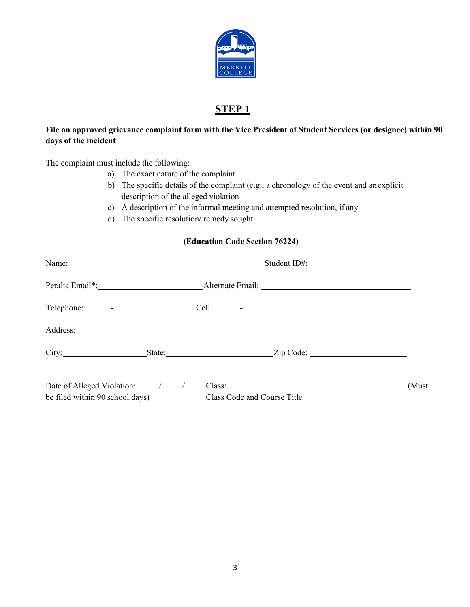

## **STEP 1**

### **File an approved grievance complaint form with the Vice President of Student Services (or designee) within 90 days of the incident**

The complaint must include the following:

- a) The exact nature of the complaint
- b) The specific details of the complaint (e.g., a chronology of the event and anexplicit description of the alleged violation
- c) A description of the informal meeting and attempted resolution, if any
- d) The specific resolution/ remedy sought

#### **(Education Code Section 76224)**

| Name: 2008. [2016] 2016. [2016] 2016. [2016] 2016. [2016] 2016. [2016] 2016. [2016] 2016. [2016] 2016. [2016] 2016. [2016] 2016. [2016] 2016. [2016] 2016. [2016] 2016. [2016] 2016. [2016] 2016. [2016] 2016. [2016] 2016. [2 |  |  |                                         |       |
|--------------------------------------------------------------------------------------------------------------------------------------------------------------------------------------------------------------------------------|--|--|-----------------------------------------|-------|
|                                                                                                                                                                                                                                |  |  |                                         |       |
|                                                                                                                                                                                                                                |  |  |                                         |       |
|                                                                                                                                                                                                                                |  |  |                                         |       |
|                                                                                                                                                                                                                                |  |  | City: State: State: Zip Code:           |       |
|                                                                                                                                                                                                                                |  |  | Date of Alleged Violation: / / / Class: | (Must |
| be filed within 90 school days)                                                                                                                                                                                                |  |  | Class Code and Course Title             |       |